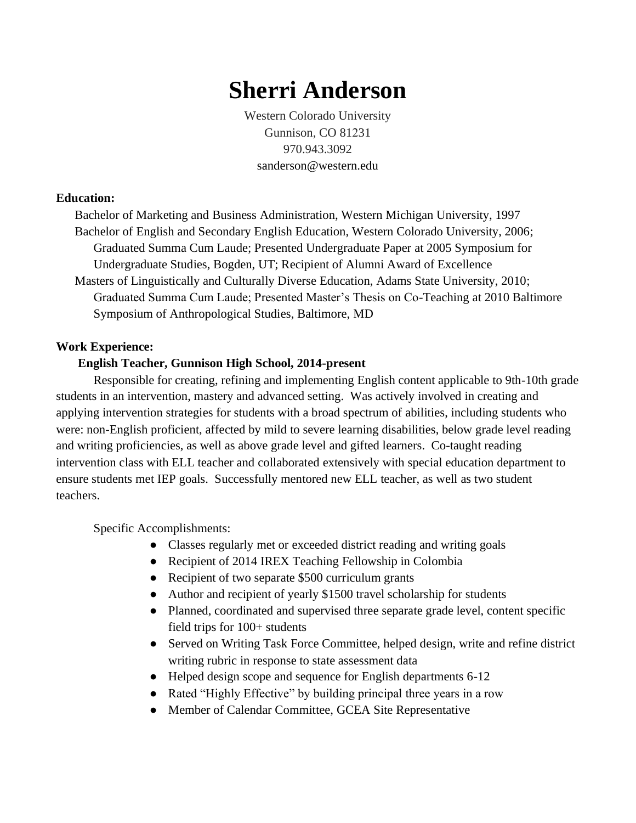# **Sherri Anderson**

Western Colorado University Gunnison, CO 81231 970.943.3092 sanderson@western.edu

#### **Education:**

Bachelor of Marketing and Business Administration, Western Michigan University, 1997 Bachelor of English and Secondary English Education, Western Colorado University, 2006; Graduated Summa Cum Laude; Presented Undergraduate Paper at 2005 Symposium for Undergraduate Studies, Bogden, UT; Recipient of Alumni Award of Excellence Masters of Linguistically and Culturally Diverse Education, Adams State University, 2010; Graduated Summa Cum Laude; Presented Master's Thesis on Co-Teaching at 2010 Baltimore Symposium of Anthropological Studies, Baltimore, MD

#### **Work Experience:**

#### **English Teacher, Gunnison High School, 2014-present**

Responsible for creating, refining and implementing English content applicable to 9th-10th grade students in an intervention, mastery and advanced setting. Was actively involved in creating and applying intervention strategies for students with a broad spectrum of abilities, including students who were: non-English proficient, affected by mild to severe learning disabilities, below grade level reading and writing proficiencies, as well as above grade level and gifted learners. Co-taught reading intervention class with ELL teacher and collaborated extensively with special education department to ensure students met IEP goals. Successfully mentored new ELL teacher, as well as two student teachers.

Specific Accomplishments:

- Classes regularly met or exceeded district reading and writing goals
- Recipient of 2014 IREX Teaching Fellowship in Colombia
- Recipient of two separate \$500 curriculum grants
- Author and recipient of yearly \$1500 travel scholarship for students
- Planned, coordinated and supervised three separate grade level, content specific field trips for 100+ students
- Served on Writing Task Force Committee, helped design, write and refine district writing rubric in response to state assessment data
- Helped design scope and sequence for English departments 6-12
- Rated "Highly Effective" by building principal three years in a row
- Member of Calendar Committee, GCEA Site Representative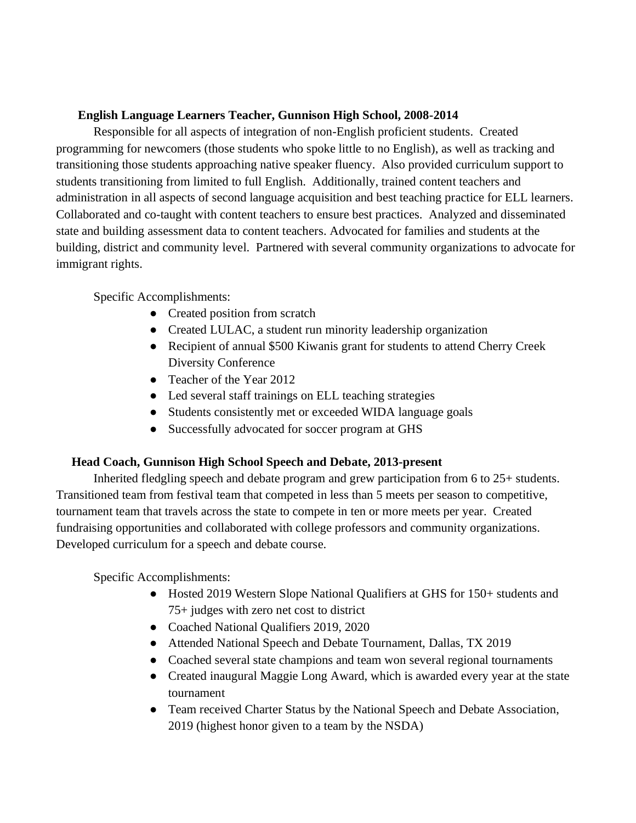#### **English Language Learners Teacher, Gunnison High School, 2008-2014**

Responsible for all aspects of integration of non-English proficient students. Created programming for newcomers (those students who spoke little to no English), as well as tracking and transitioning those students approaching native speaker fluency. Also provided curriculum support to students transitioning from limited to full English. Additionally, trained content teachers and administration in all aspects of second language acquisition and best teaching practice for ELL learners. Collaborated and co-taught with content teachers to ensure best practices. Analyzed and disseminated state and building assessment data to content teachers. Advocated for families and students at the building, district and community level. Partnered with several community organizations to advocate for immigrant rights.

## Specific Accomplishments:

- Created position from scratch
- Created LULAC, a student run minority leadership organization
- Recipient of annual \$500 Kiwanis grant for students to attend Cherry Creek Diversity Conference
- Teacher of the Year 2012
- Led several staff trainings on ELL teaching strategies
- Students consistently met or exceeded WIDA language goals
- Successfully advocated for soccer program at GHS

## **Head Coach, Gunnison High School Speech and Debate, 2013-present**

Inherited fledgling speech and debate program and grew participation from 6 to 25+ students. Transitioned team from festival team that competed in less than 5 meets per season to competitive, tournament team that travels across the state to compete in ten or more meets per year. Created fundraising opportunities and collaborated with college professors and community organizations. Developed curriculum for a speech and debate course.

Specific Accomplishments:

- Hosted 2019 Western Slope National Qualifiers at GHS for 150+ students and 75+ judges with zero net cost to district
- Coached National Qualifiers 2019, 2020
- Attended National Speech and Debate Tournament, Dallas, TX 2019
- Coached several state champions and team won several regional tournaments
- Created inaugural Maggie Long Award, which is awarded every year at the state tournament
- Team received Charter Status by the National Speech and Debate Association, 2019 (highest honor given to a team by the NSDA)